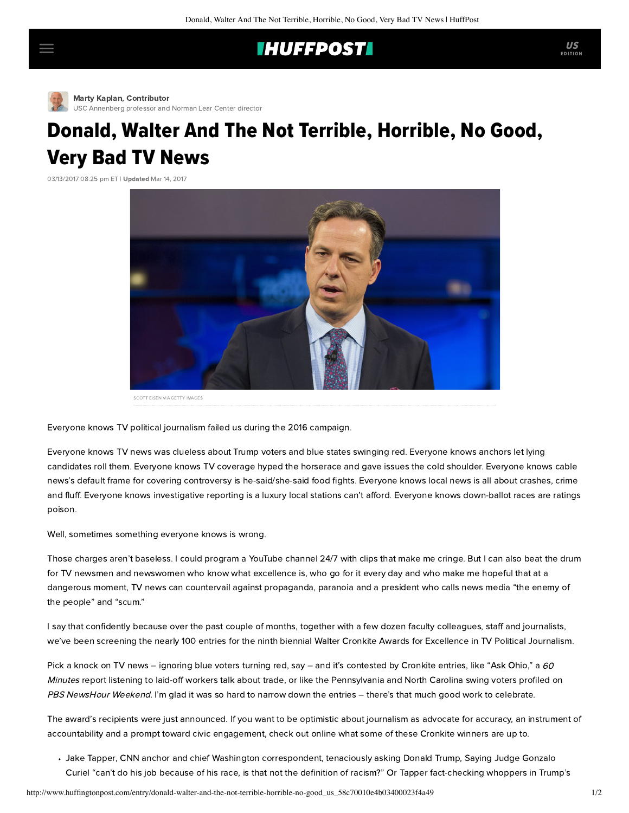## **IHUFFPOSTI**

[M](http://www.huffingtonpost.com/author/marty-kaplan)arty Kaplan, Contributor [USC Annenberg professor and Norman Lear Center director](http://www.huffingtonpost.com/author/marty-kaplan)

## Donald, Walter And The Not Terrible, Horrible, No Good, Very Bad TV News

03/13/2017 08:25 pm ET | Updated Mar 14, 2017



SCOTT EISEN VIA GETTY IMAGES

Everyone knows TV political journalism failed us during the 2016 campaign.

Everyone knows TV news was clueless about Trump voters and blue states swinging red. Everyone knows anchors let lying candidates roll them. Everyone knows TV coverage hyped the horserace and gave issues the cold shoulder. Everyone knows cable news's default frame for covering controversy is he-said/she-said food fights. Everyone knows local news is all about crashes, crime and fluff. Everyone knows investigative reporting is a luxury local stations can't afford. Everyone knows down-ballot races are ratings poison.

Well, sometimes something everyone knows is wrong.

Those charges aren't baseless. I could program a YouTube channel 24/7 with clips that make me cringe. But I can also beat the drum for TV newsmen and newswomen who know what excellence is, who go for it every day and who make me hopeful that at a dangerous moment, TV news can countervail against propaganda, paranoia and a president who calls news media "the enemy of the people" and "scum."

I say that confidently because over the past couple of months, together with a few dozen faculty colleagues, staff and journalists, we've been screening the nearly 100 entries for the ninth biennial Walter Cronkite Awards for Excellence in TV Political Journalism.

Pick a knock on TV news – ignoring blue voters turning red, say – and it's contested by Cronkite entries, like "[Ask Ohio](https://cbsnews.cimediacloud.com/mediaboxes/ec3b2f3896414198aa7a311256dc666e)," a 60 Minutes report listening to laid-off workers talk about trade, or like the [Pennsylvania](https://www.youtube.com/watch?v=bXesU9PQtYI) and [North Carolina](https://www.youtube.com/watch?v=bTfEsQoIe_o) swing voters profiled on PBS NewsHour Weekend. I'm glad it was so hard to narrow down the entries - there's that much good work to celebrate.

The award's recipients were just [announced](https://learcenter.org/wp-content/uploads/2017/03/CronkiteAwardWinners2017.pdf). If you want to be optimistic about journalism as advocate for accuracy, an instrument of accountability and a prompt toward civic engagement, check out online what some of these Cronkite winners are up to.

[Jake Tapper,](https://www.youtube.com/watch?v=BTSj2u446wE&feature=youtu.be) CNN anchor and chief Washington correspondent, tenaciously [asking](https://www.youtube.com/watch?v=BTSj2u446wE&feature=youtu.be&t=1m24s) Donald Trump, Saying Judge Gonzalo Curiel "can't do his job because of his race, is that not the definition of racism?" Or Tapper [fact-checking](https://www.youtube.com/watch?v=XF3l7v9HZkI&feature=youtu.be&t=15m54s) whoppers in Trump's